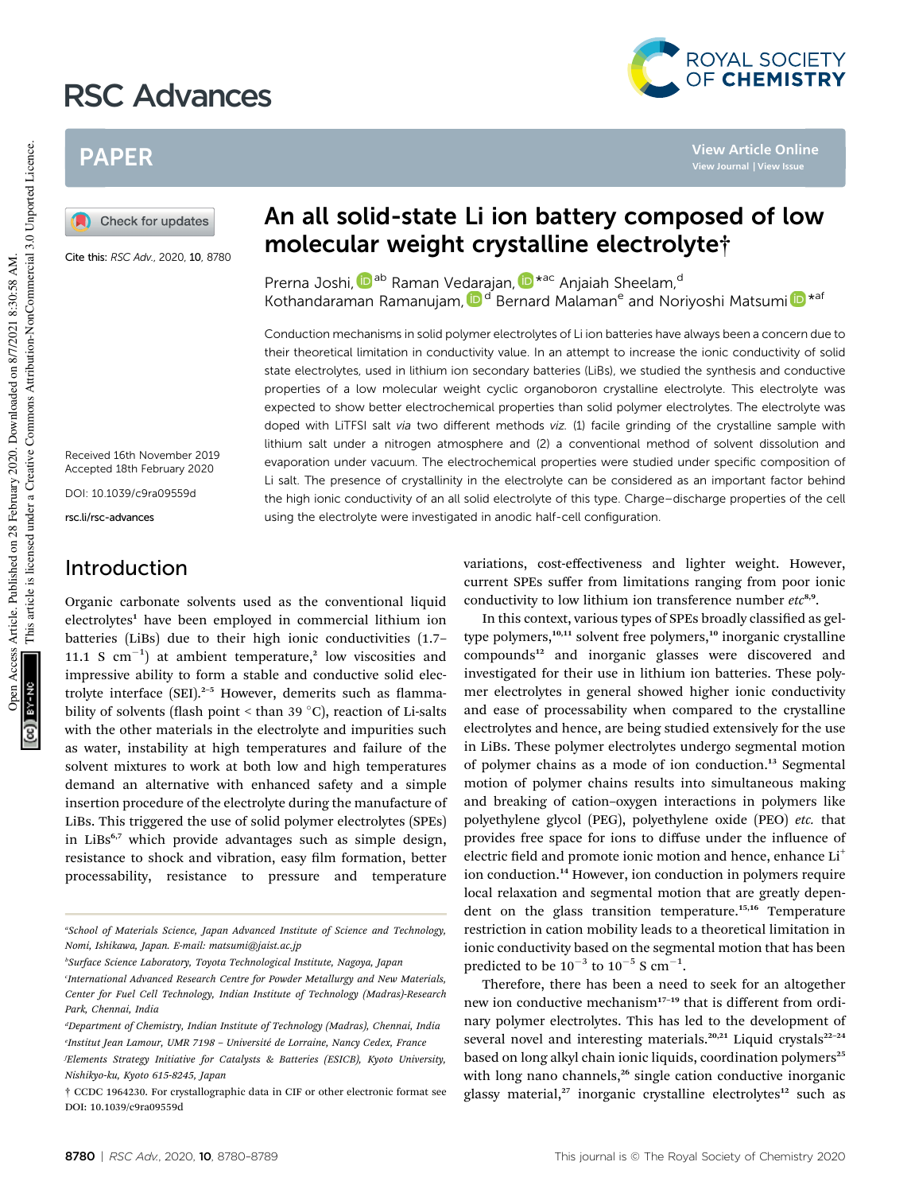# RSC Advances



**View Article Online View Journal | View Issue**

## PAPER

Check for updates

Cite this: RSC Adv., 2020, 10, 8780

Received 16th November 2019 Accepted 18th February 2020

DOI: 10.1039/c9ra09559d

rsc.li/rsc-advances

### Introduction

Organic carbonate solvents used as the conventional liquid electrolytes<sup>1</sup> have been employed in commercial lithium ion batteries (LiBs) due to their high ionic conductivities (1.7– 11.1 S  $cm^{-1}$ ) at ambient temperature,<sup>2</sup> low viscosities and impressive ability to form a stable and conductive solid electrolyte interface  $(SEI).<sup>2-5</sup>$  However, demerits such as flammability of solvents (flash point  $\leq$  than 39 °C), reaction of Li-salts with the other materials in the electrolyte and impurities such as water, instability at high temperatures and failure of the solvent mixtures to work at both low and high temperatures demand an alternative with enhanced safety and a simple insertion procedure of the electrolyte during the manufacture of LiBs. This triggered the use of solid polymer electrolytes (SPEs) in LiBs<sup>6,7</sup> which provide advantages such as simple design, resistance to shock and vibration, easy film formation, better processability, resistance to pressure and temperature

*<sup>b</sup>Surface Science Laboratory, Toyota Technological Institute, Nagoya, Japan*

## An all solid-state Li ion battery composed of low molecular weight crystalline electrolyte†

Prerna Joshi, D<sup>ab</sup> Raman Vedarajan, D<sup>\*ac</sup> Anjaiah Sheelam,<sup>d</sup> Kothandaraman Ramanujam, D<sup>d</sup> Bernard Malaman<sup>e</sup> and Noriyoshi Matsumi D<sup>\*af</sup>

Conduction mechanisms in solid polymer electrolytes of Li ion batteries have always been a concern due to their theoretical limitation in conductivity value. In an attempt to increase the ionic conductivity of solid state electrolytes, used in lithium ion secondary batteries (LiBs), we studied the synthesis and conductive properties of a low molecular weight cyclic organoboron crystalline electrolyte. This electrolyte was expected to show better electrochemical properties than solid polymer electrolytes. The electrolyte was doped with LiTFSI salt via two different methods viz. (1) facile grinding of the crystalline sample with lithium salt under a nitrogen atmosphere and (2) a conventional method of solvent dissolution and evaporation under vacuum. The electrochemical properties were studied under specific composition of Li salt. The presence of crystallinity in the electrolyte can be considered as an important factor behind the high ionic conductivity of an all solid electrolyte of this type. Charge–discharge properties of the cell using the electrolyte were investigated in anodic half-cell configuration.

> variations, cost-effectiveness and lighter weight. However, current SPEs suffer from limitations ranging from poor ionic conductivity to low lithium ion transference number etc<sup>8,9</sup>.

> In this context, various types of SPEs broadly classified as geltype polymers,<sup>10,11</sup> solvent free polymers,<sup>10</sup> inorganic crystalline compounds<sup>12</sup> and inorganic glasses were discovered and investigated for their use in lithium ion batteries. These polymer electrolytes in general showed higher ionic conductivity and ease of processability when compared to the crystalline electrolytes and hence, are being studied extensively for the use in LiBs. These polymer electrolytes undergo segmental motion of polymer chains as a mode of ion conduction.<sup>13</sup> Segmental motion of polymer chains results into simultaneous making and breaking of cation–oxygen interactions in polymers like polyethylene glycol (PEG), polyethylene oxide (PEO) *etc.* that provides free space for ions to diffuse under the influence of electric field and promote ionic motion and hence, enhance Li<sup>+</sup> ion conduction.<sup>14</sup> However, ion conduction in polymers require local relaxation and segmental motion that are greatly dependent on the glass transition temperature.<sup>15,16</sup> Temperature restriction in cation mobility leads to a theoretical limitation in ionic conductivity based on the segmental motion that has been predicted to be  $10^{-3}$  to  $10^{-5}$  S cm<sup>-1</sup>.

> Therefore, there has been a need to seek for an altogether new ion conductive mechanism<sup>17-19</sup> that is different from ordinary polymer electrolytes. This has led to the development of several novel and interesting materials.<sup>20,21</sup> Liquid crystals<sup>22-24</sup> based on long alkyl chain ionic liquids, coordination polymers<sup>25</sup> with long nano channels,<sup>26</sup> single cation conductive inorganic glassy material,<sup>27</sup> inorganic crystalline electrolytes<sup>12</sup> such as

*<sup>a</sup>School of Materials Science, Japan Advanced Institute of Science and Technology, Nomi, Ishikawa, Japan. E-mail: matsumi@jaist.ac.jp*

*c International Advanced Research Centre for Powder Metallurgy and New Materials, Center for Fuel Cell Technology, Indian Institute of Technology (Madras)-Research Park, Chennai, India*

*<sup>d</sup>Department of Chemistry, Indian Institute of Technology (Madras), Chennai, India e Institut Jean Lamour, UMR 7198* – *Universit´e de Lorraine, Nancy Cedex, France*

*<sup>f</sup>Elements Strategy Initiative for Catalysts & Batteries (ESICB), Kyoto University, Nishikyo-ku, Kyoto 615-8245, Japan*

<sup>†</sup> CCDC 1964230. For crystallographic data in CIF or other electronic format see DOI: 10.1039/c9ra09559d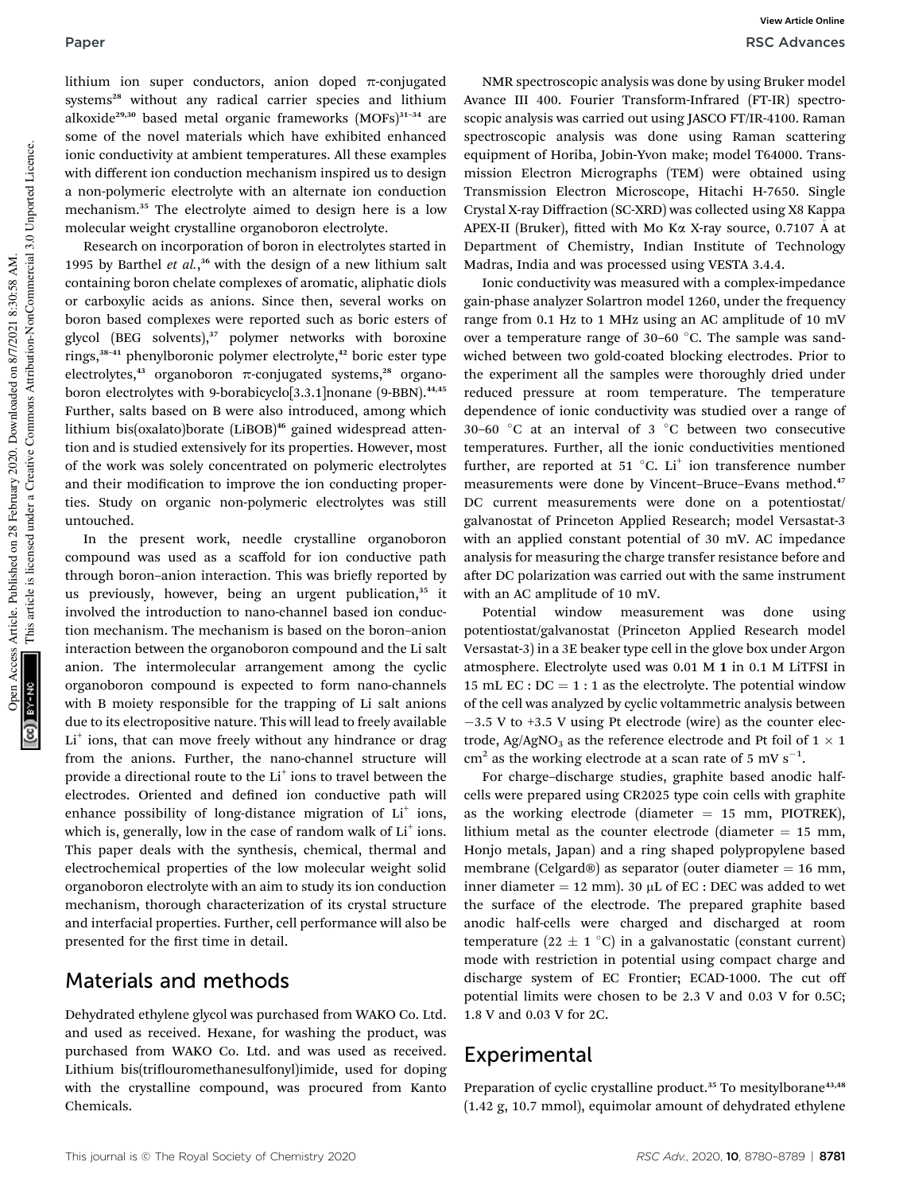lithium ion super conductors, anion doped  $\pi$ -conjugated systems<sup>28</sup> without any radical carrier species and lithium alkoxide<sup>29,30</sup> based metal organic frameworks (MOFs)<sup>31-34</sup> are some of the novel materials which have exhibited enhanced ionic conductivity at ambient temperatures. All these examples with different ion conduction mechanism inspired us to design a non-polymeric electrolyte with an alternate ion conduction mechanism.<sup>35</sup> The electrolyte aimed to design here is a low molecular weight crystalline organoboron electrolyte.

Research on incorporation of boron in electrolytes started in 1995 by Barthel *et al.*, <sup>36</sup> with the design of a new lithium salt containing boron chelate complexes of aromatic, aliphatic diols or carboxylic acids as anions. Since then, several works on boron based complexes were reported such as boric esters of glycol (BEG solvents), $37$  polymer networks with boroxine rings,<sup>38-41</sup> phenylboronic polymer electrolyte,<sup>42</sup> boric ester type electrolytes,<sup>43</sup> organoboron  $\pi$ -conjugated systems,<sup>28</sup> organoboron electrolytes with 9-borabicyclo<sup>[3.3.1]</sup>nonane (9-BBN).<sup>44,45</sup> Further, salts based on B were also introduced, among which lithium bis(oxalato)borate (LiBOB)<sup>46</sup> gained widespread attention and is studied extensively for its properties. However, most of the work was solely concentrated on polymeric electrolytes and their modification to improve the ion conducting properties. Study on organic non-polymeric electrolytes was still untouched.

In the present work, needle crystalline organoboron compound was used as a scaffold for ion conductive path through boron–anion interaction. This was briefly reported by us previously, however, being an urgent publication,<sup>35</sup> it involved the introduction to nano-channel based ion conduction mechanism. The mechanism is based on the boron–anion interaction between the organoboron compound and the Li salt anion. The intermolecular arrangement among the cyclic organoboron compound is expected to form nano-channels with B moiety responsible for the trapping of Li salt anions due to its electropositive nature. This will lead to freely available Li<sup>+</sup> ions, that can move freely without any hindrance or drag from the anions. Further, the nano-channel structure will provide a directional route to the Li<sup>+</sup> ions to travel between the electrodes. Oriented and defined ion conductive path will enhance possibility of long-distance migration of Li<sup>+</sup> ions, which is, generally, low in the case of random walk of  $Li<sup>+</sup>$  ions. This paper deals with the synthesis, chemical, thermal and electrochemical properties of the low molecular weight solid organoboron electrolyte with an aim to study its ion conduction mechanism, thorough characterization of its crystal structure and interfacial properties. Further, cell performance will also be presented for the first time in detail.

### Materials and methods

Dehydrated ethylene glycol was purchased from WAKO Co. Ltd. and used as received. Hexane, for washing the product, was purchased from WAKO Co. Ltd. and was used as received. Lithium bis(triflouromethanesulfonyl)imide, used for doping with the crystalline compound, was procured from Kanto Chemicals.

NMR spectroscopic analysis was done by using Bruker model Avance III 400. Fourier Transform-Infrared (FT-IR) spectroscopic analysis was carried out using JASCO FT/IR-4100. Raman spectroscopic analysis was done using Raman scattering equipment of Horiba, Jobin-Yvon make; model T64000. Transmission Electron Micrographs (TEM) were obtained using Transmission Electron Microscope, Hitachi H-7650. Single Crystal X-ray Diffraction (SC-XRD) was collected using X8 Kappa APEX-II (Bruker), fitted with Mo Ka X-ray source, 0.7107 Å at Department of Chemistry, Indian Institute of Technology Madras, India and was processed using VESTA 3.4.4.

Ionic conductivity was measured with a complex-impedance gain-phase analyzer Solartron model 1260, under the frequency range from 0.1 Hz to 1 MHz using an AC amplitude of 10 mV over a temperature range of 30–60  $^{\circ}$ C. The sample was sandwiched between two gold-coated blocking electrodes. Prior to the experiment all the samples were thoroughly dried under reduced pressure at room temperature. The temperature dependence of ionic conductivity was studied over a range of 30–60 $\degree$ C at an interval of 3  $\degree$ C between two consecutive temperatures. Further, all the ionic conductivities mentioned further, are reported at 51  $^{\circ}$ C. Li<sup>+</sup> ion transference number measurements were done by Vincent-Bruce-Evans method.<sup>47</sup> DC current measurements were done on a potentiostat/ galvanostat of Princeton Applied Research; model Versastat-3 with an applied constant potential of 30 mV. AC impedance analysis for measuring the charge transfer resistance before and after DC polarization was carried out with the same instrument with an AC amplitude of 10 mV.

Potential window measurement was done using potentiostat/galvanostat (Princeton Applied Research model Versastat-3) in a 3E beaker type cell in the glove box under Argon atmosphere. Electrolyte used was 0.01 M 1 in 0.1 M LiTFSI in 15 mL EC :  $DC = 1$  : 1 as the electrolyte. The potential window of the cell was analyzed by cyclic voltammetric analysis between  $-3.5$  V to  $+3.5$  V using Pt electrode (wire) as the counter electrode, Ag/AgNO<sub>3</sub> as the reference electrode and Pt foil of  $1 \times 1$  $\text{cm}^2$  as the working electrode at a scan rate of 5 mV s<sup>-1</sup>.

For charge–discharge studies, graphite based anodic halfcells were prepared using CR2025 type coin cells with graphite as the working electrode (diameter  $= 15$  mm, PIOTREK), lithium metal as the counter electrode (diameter  $= 15$  mm, Honjo metals, Japan) and a ring shaped polypropylene based membrane (Celgard®) as separator (outer diameter  $= 16$  mm, inner diameter  $= 12$  mm). 30 µL of EC : DEC was added to wet the surface of the electrode. The prepared graphite based anodic half-cells were charged and discharged at room temperature (22  $\pm$  1 °C) in a galvanostatic (constant current) mode with restriction in potential using compact charge and discharge system of EC Frontier; ECAD-1000. The cut off potential limits were chosen to be 2.3 V and 0.03 V for 0.5C; 1.8 V and 0.03 V for 2C.

### Experimental

Preparation of cyclic crystalline product.<sup>35</sup> To mesitylborane<sup>43,48</sup> (1.42 g, 10.7 mmol), equimolar amount of dehydrated ethylene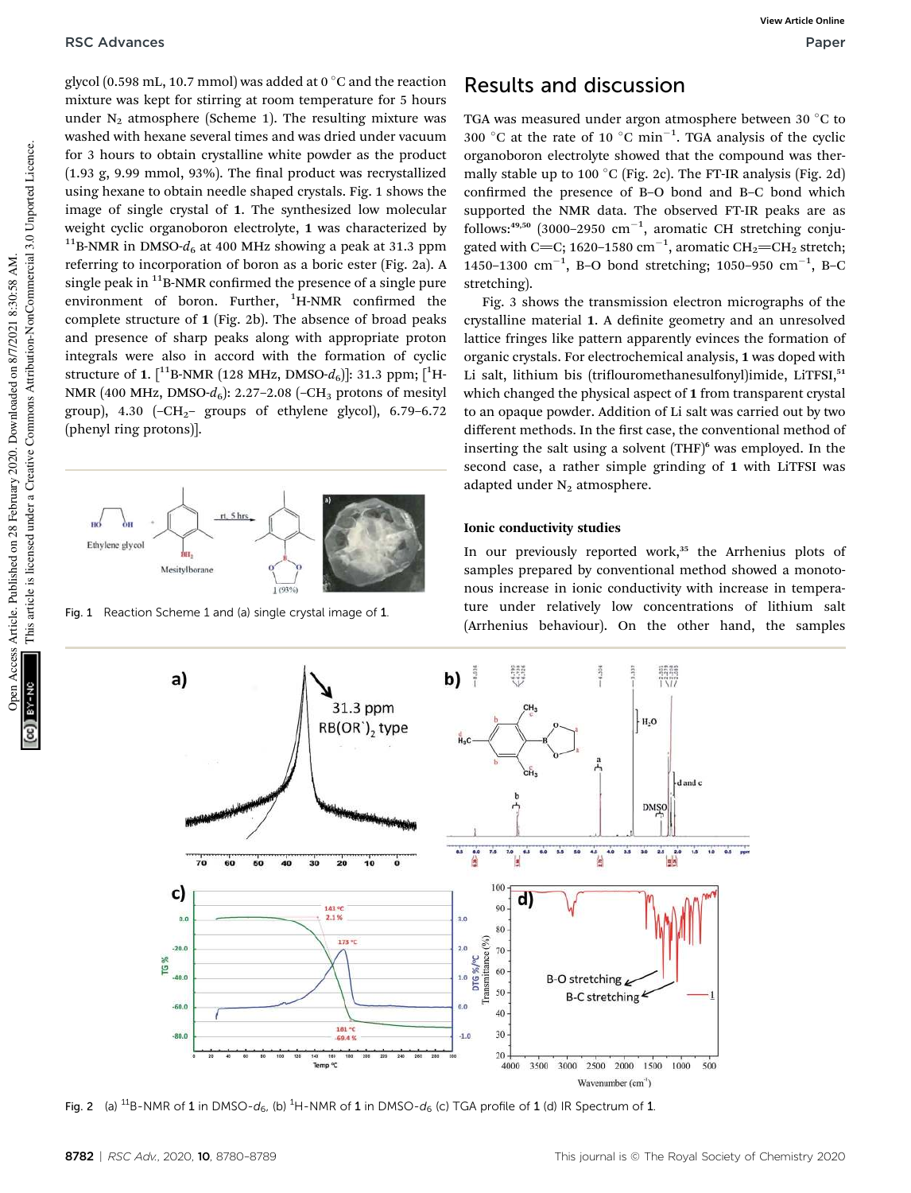glycol (0.598 mL, 10.7 mmol) was added at 0  $\degree$ C and the reaction mixture was kept for stirring at room temperature for 5 hours under  $N_2$  atmosphere (Scheme 1). The resulting mixture was washed with hexane several times and was dried under vacuum for 3 hours to obtain crystalline white powder as the product  $(1.93 \text{ g}, 9.99 \text{ mmol}, 93\%)$ . The final product was recrystallized using hexane to obtain needle shaped crystals. Fig. 1 shows the image of single crystal of 1. The synthesized low molecular weight cyclic organoboron electrolyte, 1 was characterized by  $11$ B-NMR in DMSO- $d_6$  at 400 MHz showing a peak at 31.3 ppm referring to incorporation of boron as a boric ester (Fig. 2a). A single peak in  $^{11}$ B-NMR confirmed the presence of a single pure environment of boron. Further,  ${}^{1}$ H-NMR confirmed the complete structure of 1 (Fig. 2b). The absence of broad peaks and presence of sharp peaks along with appropriate proton integrals were also in accord with the formation of cyclic structure of 1.  $\lceil 1^{11}B\text{-NMR} (128 \text{ MHz}, \text{DMSO-}d_6) \rceil$ : 31.3 ppm;  $\lceil 1^{1}H\text{-}d_6 \rceil$ NMR (400 MHz, DMSO- $d_6$ ): 2.27–2.08 (–CH<sub>3</sub> protons of mesityl group), 4.30  $(-CH<sub>2</sub>-$  groups of ethylene glycol), 6.79–6.72 (phenyl ring protons)].



Fig. 1 Reaction Scheme 1 and (a) single crystal image of 1.

### Results and discussion

TGA was measured under argon atmosphere between 30  $^{\circ}$ C to 300 °C at the rate of 10 °C min<sup>-1</sup>. TGA analysis of the cyclic organoboron electrolyte showed that the compound was thermally stable up to 100  $^{\circ}$ C (Fig. 2c). The FT-IR analysis (Fig. 2d) confirmed the presence of B-O bond and B-C bond which supported the NMR data. The observed FT-IR peaks are as  $follows:4^{49,50}$  (3000-2950  $cm^{-1}$ , aromatic CH stretching conjugated with C=C; 1620–1580  $\rm cm^{-1}$ , aromatic CH<sub>2</sub>=CH<sub>2</sub> stretch; 1450–1300  $\text{cm}^{-1}$ , B–O bond stretching; 1050–950  $\text{cm}^{-1}$ , B–C stretching).

Fig. 3 shows the transmission electron micrographs of the crystalline material 1. A definite geometry and an unresolved lattice fringes like pattern apparently evinces the formation of organic crystals. For electrochemical analysis, 1 was doped with Li salt, lithium bis (triflouromethanesulfonyl)imide, LiTFSI,<sup>51</sup> which changed the physical aspect of 1 from transparent crystal to an opaque powder. Addition of Li salt was carried out by two different methods. In the first case, the conventional method of inserting the salt using a solvent  $(THF)^6$  was employed. In the second case, a rather simple grinding of 1 with LiTFSI was adapted under  $N_2$  atmosphere.

### Ionic conductivity studies

In our previously reported work,<sup>35</sup> the Arrhenius plots of samples prepared by conventional method showed a monotonous increase in ionic conductivity with increase in temperature under relatively low concentrations of lithium salt (Arrhenius behaviour). On the other hand, the samples



Fig. 2 (a)  $^{11}B$ -NMR of 1 in DMSO-d<sub>6</sub>, (b) <sup>1</sup>H-NMR of 1 in DMSO-d<sub>6</sub> (c) TGA profile of 1 (d) IR Spectrum of 1.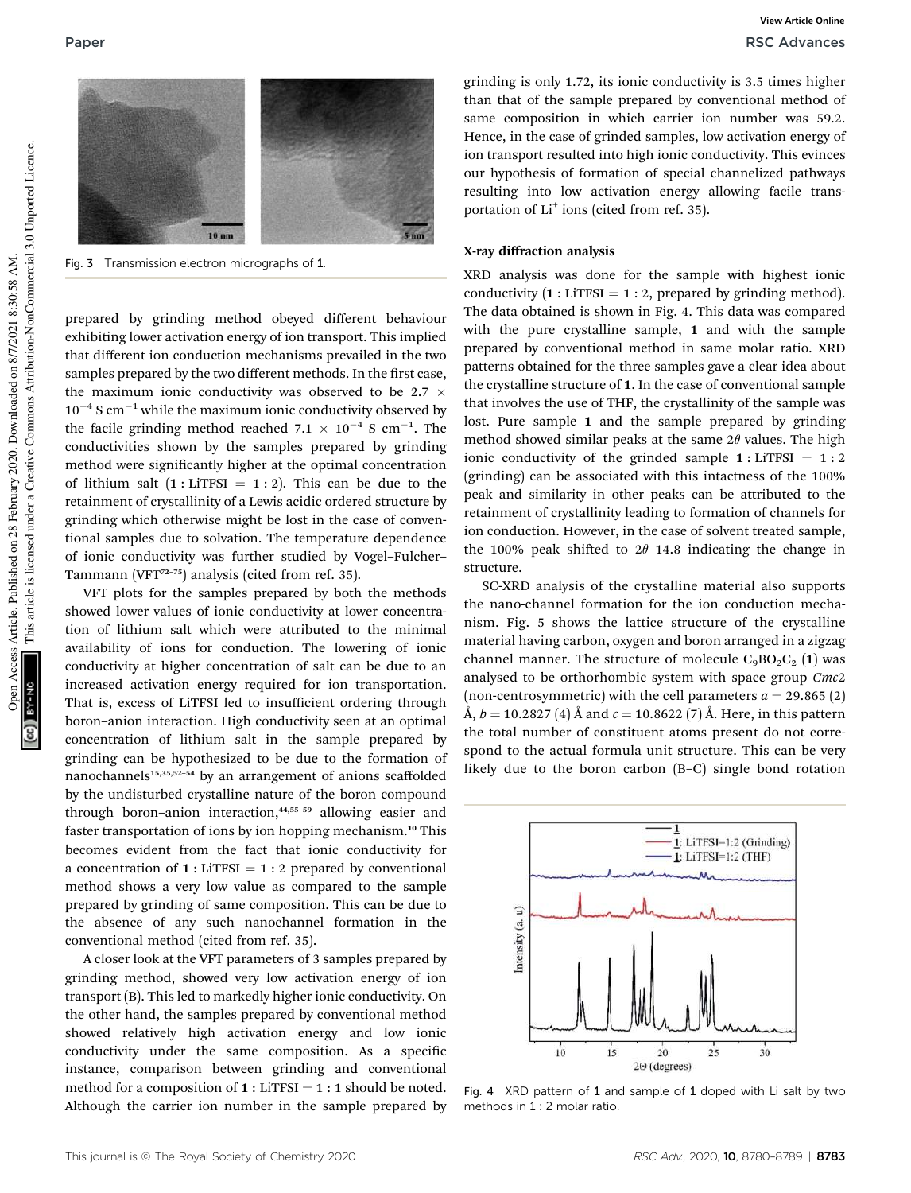

Fig. 3 Transmission electron micrographs of 1

prepared by grinding method obeyed different behaviour exhibiting lower activation energy of ion transport. This implied that different ion conduction mechanisms prevailed in the two samples prepared by the two different methods. In the first case, the maximum ionic conductivity was observed to be 2.7  $\times$  $10^{-4}$  S cm<sup>-1</sup> while the maximum ionic conductivity observed by the facile grinding method reached  $7.1 \times 10^{-4}$  S cm<sup>-1</sup>. The conductivities shown by the samples prepared by grinding method were significantly higher at the optimal concentration of lithium salt  $(1 : LITFSI = 1 : 2)$ . This can be due to the retainment of crystallinity of a Lewis acidic ordered structure by grinding which otherwise might be lost in the case of conventional samples due to solvation. The temperature dependence of ionic conductivity was further studied by Vogel–Fulcher– Tammann (VFT<sup>72-75</sup>) analysis (cited from ref. 35).

VFT plots for the samples prepared by both the methods showed lower values of ionic conductivity at lower concentration of lithium salt which were attributed to the minimal availability of ions for conduction. The lowering of ionic conductivity at higher concentration of salt can be due to an increased activation energy required for ion transportation. That is, excess of LiTFSI led to insufficient ordering through boron–anion interaction. High conductivity seen at an optimal concentration of lithium salt in the sample prepared by grinding can be hypothesized to be due to the formation of nanochannels<sup>15,35,52-54</sup> by an arrangement of anions scaffolded by the undisturbed crystalline nature of the boron compound through boron-anion interaction,<sup>44,55-59</sup> allowing easier and faster transportation of ions by ion hopping mechanism.<sup>10</sup> This becomes evident from the fact that ionic conductivity for a concentration of  $1 :$  LiTFSI = 1 : 2 prepared by conventional method shows a very low value as compared to the sample prepared by grinding of same composition. This can be due to the absence of any such nanochannel formation in the conventional method (cited from ref. 35).

A closer look at the VFT parameters of 3 samples prepared by grinding method, showed very low activation energy of ion transport (B). This led to markedly higher ionic conductivity. On the other hand, the samples prepared by conventional method showed relatively high activation energy and low ionic conductivity under the same composition. As a specific instance, comparison between grinding and conventional method for a composition of  $1:$  LiTFSI = 1 : 1 should be noted. Although the carrier ion number in the sample prepared by

grinding is only 1.72, its ionic conductivity is 3.5 times higher than that of the sample prepared by conventional method of same composition in which carrier ion number was 59.2. Hence, in the case of grinded samples, low activation energy of ion transport resulted into high ionic conductivity. This evinces our hypothesis of formation of special channelized pathways resulting into low activation energy allowing facile transportation of Li<sup>+</sup> ions (cited from ref. 35).

#### X-ray diffraction analysis

XRD analysis was done for the sample with highest ionic conductivity  $(1 : \text{LiTFSI} = 1 : 2$ , prepared by grinding method). The data obtained is shown in Fig. 4. This data was compared with the pure crystalline sample, 1 and with the sample prepared by conventional method in same molar ratio. XRD patterns obtained for the three samples gave a clear idea about the crystalline structure of 1. In the case of conventional sample that involves the use of THF, the crystallinity of the sample was lost. Pure sample 1 and the sample prepared by grinding method showed similar peaks at the same  $2\theta$  values. The high ionic conductivity of the grinded sample  $1:$  LiTFSI =  $1:2$ (grinding) can be associated with this intactness of the 100% peak and similarity in other peaks can be attributed to the retainment of crystallinity leading to formation of channels for ion conduction. However, in the case of solvent treated sample, the 100% peak shifted to  $2\theta$  14.8 indicating the change in structure.

SC-XRD analysis of the crystalline material also supports the nano-channel formation for the ion conduction mechanism. Fig. 5 shows the lattice structure of the crystalline material having carbon, oxygen and boron arranged in a zigzag channel manner. The structure of molecule  $C_9BO_2C_2$  (1) was analysed to be orthorhombic system with space group *Cmc*2 (non-centrosymmetric) with the cell parameters  $a = 29.865$  (2)  $\tilde{A}, b = 10.2827 (4) \tilde{A}$  and  $c = 10.8622 (7) \tilde{A}$ . Here, in this pattern the total number of constituent atoms present do not correspond to the actual formula unit structure. This can be very likely due to the boron carbon (B–C) single bond rotation



Fig. 4 XRD pattern of 1 and sample of 1 doped with Li salt by two methods in 1 : 2 molar ratio.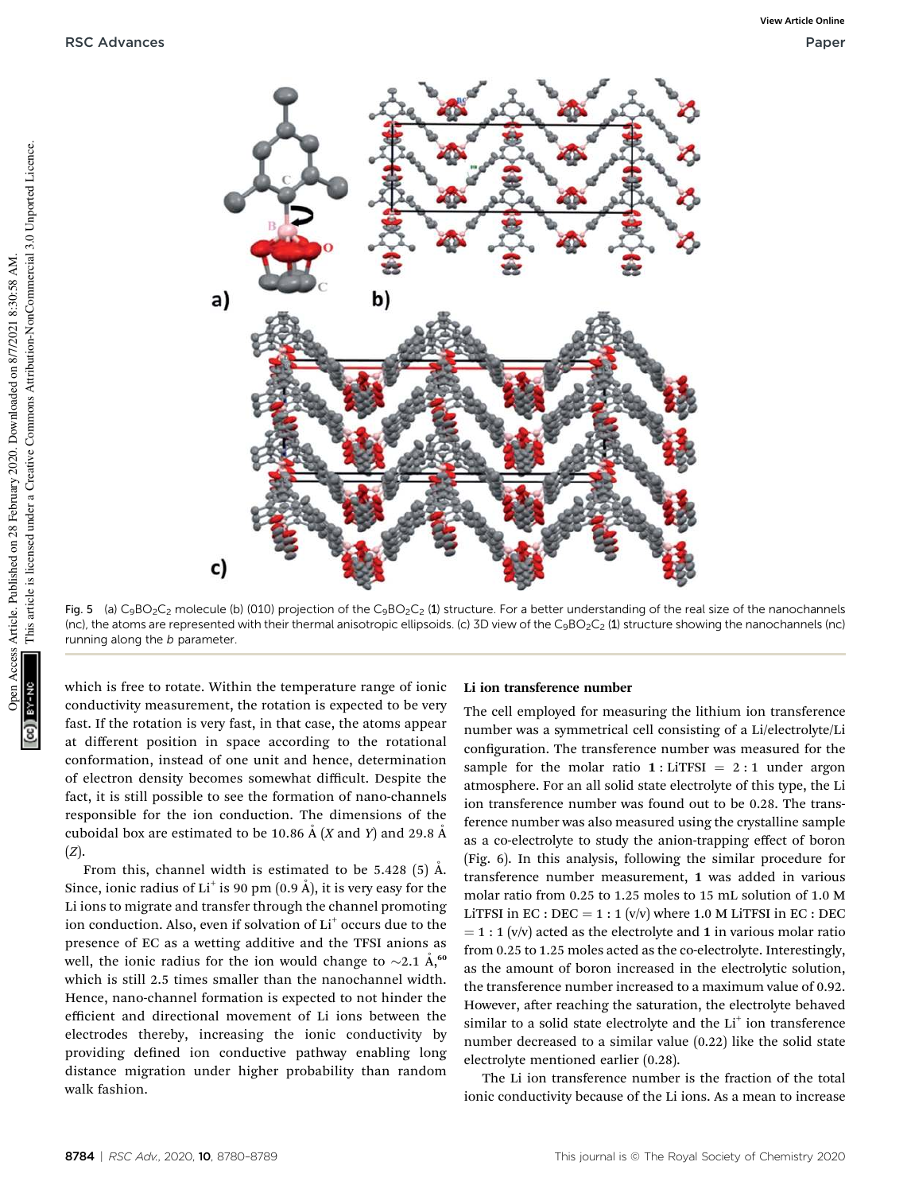



Fig. 5 (a)  $C_9BO_2C_2$  molecule (b) (010) projection of the  $C_9BO_2C_2$  (1) structure. For a better understanding of the real size of the nanochannels (nc), the atoms are represented with their thermal anisotropic ellipsoids. (c) 3D view of the C<sub>9</sub>BO<sub>2</sub>C<sub>2</sub> (1) structure showing the nanochannels (nc) running along the b parameter.

which is free to rotate. Within the temperature range of ionic conductivity measurement, the rotation is expected to be very fast. If the rotation is very fast, in that case, the atoms appear at different position in space according to the rotational conformation, instead of one unit and hence, determination of electron density becomes somewhat difficult. Despite the fact, it is still possible to see the formation of nano-channels responsible for the ion conduction. The dimensions of the cuboidal box are estimated to be 10.86  $\AA$  (*X* and *Y*) and 29.8  $\AA$ (*Z*).

From this, channel width is estimated to be  $5.428$  (5) Å. Since, ionic radius of Li<sup>+</sup> is 90 pm (0.9 Å), it is very easy for the Li ions to migrate and transfer through the channel promoting ion conduction. Also, even if solvation of Li<sup>+</sup> occurs due to the presence of EC as a wetting additive and the TFSI anions as well, the ionic radius for the ion would change to  $\sim$ 2.1 Å,<sup>60</sup> which is still 2.5 times smaller than the nanochannel width. Hence, nano-channel formation is expected to not hinder the efficient and directional movement of Li ions between the electrodes thereby, increasing the ionic conductivity by providing defined ion conductive pathway enabling long distance migration under higher probability than random walk fashion.

#### Li ion transference number

The cell employed for measuring the lithium ion transference number was a symmetrical cell consisting of a Li/electrolyte/Li configuration. The transference number was measured for the sample for the molar ratio  $1 :$  LiTFSI = 2:1 under argon atmosphere. For an all solid state electrolyte of this type, the Li ion transference number was found out to be 0.28. The transference number was also measured using the crystalline sample as a co-electrolyte to study the anion-trapping effect of boron (Fig. 6). In this analysis, following the similar procedure for transference number measurement, 1 was added in various molar ratio from 0.25 to 1.25 moles to 15 mL solution of 1.0 M LITFSI in  $EC : DEC = 1 : 1 (v/v)$  where 1.0 M LITFSI in  $EC : DEC$  $= 1 : 1$  (v/v) acted as the electrolyte and 1 in various molar ratio from 0.25 to 1.25 moles acted as the co-electrolyte. Interestingly, as the amount of boron increased in the electrolytic solution, the transference number increased to a maximum value of 0.92. However, after reaching the saturation, the electrolyte behaved similar to a solid state electrolyte and the Li<sup>+</sup> ion transference number decreased to a similar value (0.22) like the solid state electrolyte mentioned earlier (0.28).

The Li ion transference number is the fraction of the total ionic conductivity because of the Li ions. As a mean to increase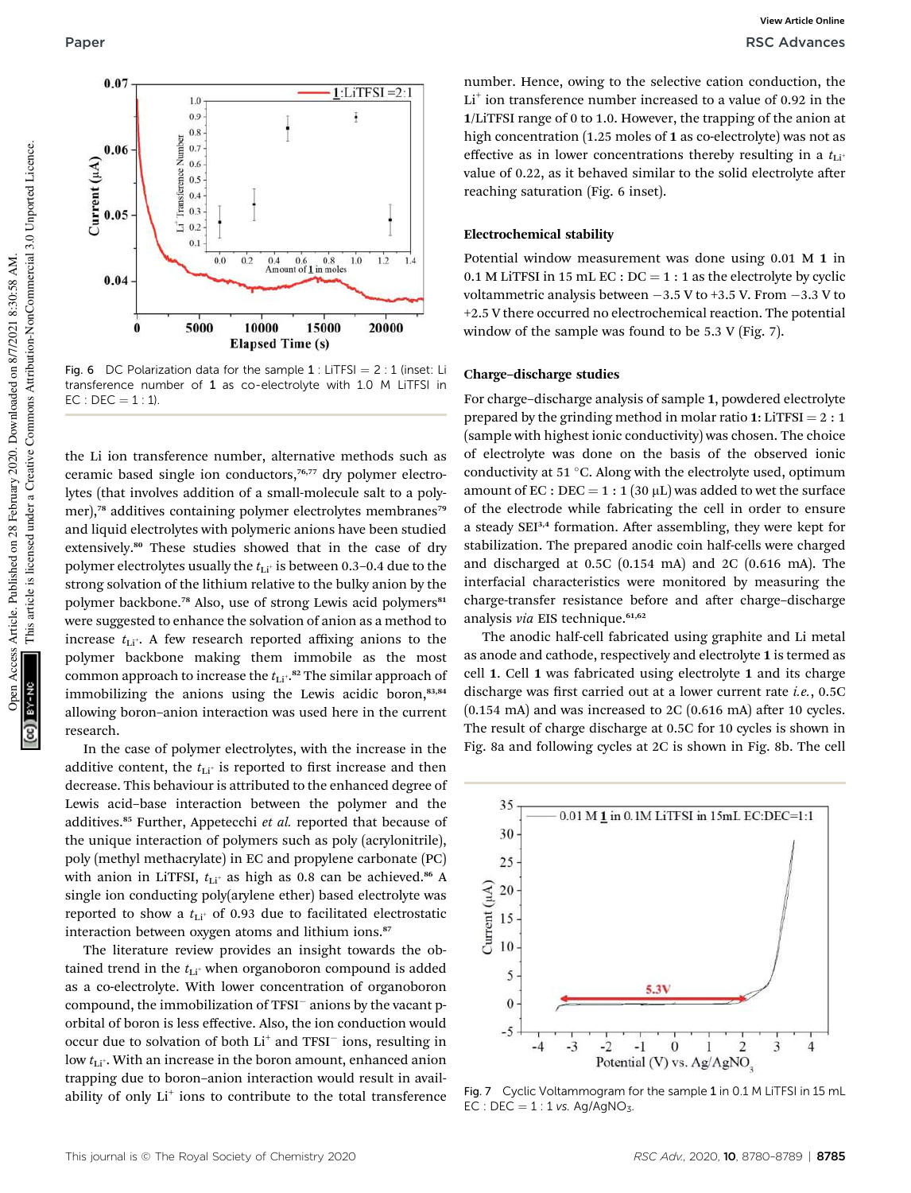

Fig. 6 DC Polarization data for the sample  $1$ : LiTFSI = 2 : 1 (inset: Li transference number of 1 as co-electrolyte with 1.0 M LiTFSI in  $EC : DEC = 1 : 1.$ 

the Li ion transference number, alternative methods such as ceramic based single ion conductors,<sup>76,77</sup> dry polymer electrolytes (that involves addition of a small-molecule salt to a polymer),<sup>78</sup> additives containing polymer electrolytes membranes<sup>79</sup> and liquid electrolytes with polymeric anions have been studied extensively.<sup>80</sup> These studies showed that in the case of dry polymer electrolytes usually the  $t_{\text{Li}^+}$  is between 0.3-0.4 due to the strong solvation of the lithium relative to the bulky anion by the polymer backbone.<sup>78</sup> Also, use of strong Lewis acid polymers<sup>81</sup> were suggested to enhance the solvation of anion as a method to increase  $t_{\text{Li}^+}$ . A few research reported affixing anions to the polymer backbone making them immobile as the most common approach to increase the  $t_{\rm Li^*}$ .<sup>82</sup> The similar approach of immobilizing the anions using the Lewis acidic boron,<sup>83,84</sup> allowing boron–anion interaction was used here in the current research.

In the case of polymer electrolytes, with the increase in the additive content, the  $t_{\text{Li}^+}$  is reported to first increase and then decrease. This behaviour is attributed to the enhanced degree of Lewis acid–base interaction between the polymer and the additives.<sup>85</sup> Further, Appetecchi *et al.* reported that because of the unique interaction of polymers such as poly (acrylonitrile), poly (methyl methacrylate) in EC and propylene carbonate (PC) with anion in LiTFSI,  $t_{Li^+}$  as high as 0.8 can be achieved.<sup>86</sup> A single ion conducting poly(arylene ether) based electrolyte was reported to show a  $t_{\text{Li}^+}$  of 0.93 due to facilitated electrostatic interaction between oxygen atoms and lithium ions.<sup>87</sup>

The literature review provides an insight towards the obtained trend in the  $t_{Li^+}$  when organoboron compound is added as a co-electrolyte. With lower concentration of organoboron compound, the immobilization of TFSI anions by the vacant porbital of boron is less effective. Also, the ion conduction would occur due to solvation of both Li<sup>+</sup> and TFSI<sup>-</sup> ions, resulting in low  $t_{\text{Li}^+}$ . With an increase in the boron amount, enhanced anion trapping due to boron–anion interaction would result in availability of only Li<sup>+</sup> ions to contribute to the total transference

number. Hence, owing to the selective cation conduction, the Li<sup>+</sup> ion transference number increased to a value of 0.92 in the 1/LiTFSI range of 0 to 1.0. However, the trapping of the anion at high concentration (1.25 moles of 1 as co-electrolyte) was not as effective as in lower concentrations thereby resulting in a  $t_{\text{Li}+}$ value of 0.22, as it behaved similar to the solid electrolyte after reaching saturation (Fig. 6 inset).

### Electrochemical stability

Potential window measurement was done using 0.01 M 1 in 0.1 M LITFSI in 15 mL EC :  $DC = 1$  : 1 as the electrolyte by cyclic voltammetric analysis between  $-3.5$  V to  $+3.5$  V. From  $-3.3$  V to +2.5 V there occurred no electrochemical reaction. The potential window of the sample was found to be 5.3 V (Fig. 7).

#### Charge–discharge studies

For charge–discharge analysis of sample 1, powdered electrolyte prepared by the grinding method in molar ratio 1: LiTFSI =  $2:1$ (sample with highest ionic conductivity) was chosen. The choice of electrolyte was done on the basis of the observed ionic conductivity at 51 $^{\circ}$ C. Along with the electrolyte used, optimum amount of EC : DEC =  $1:1(30 \mu L)$  was added to wet the surface of the electrode while fabricating the cell in order to ensure a steady SEI<sup>3,4</sup> formation. After assembling, they were kept for stabilization. The prepared anodic coin half-cells were charged and discharged at 0.5C (0.154 mA) and 2C (0.616 mA). The interfacial characteristics were monitored by measuring the charge-transfer resistance before and after charge-discharge analysis *via* EIS technique.<sup>61,62</sup>

The anodic half-cell fabricated using graphite and Li metal as anode and cathode, respectively and electrolyte 1 is termed as cell 1. Cell 1 was fabricated using electrolyte 1 and its charge discharge was first carried out at a lower current rate *i.e.*, 0.5C  $(0.154 \text{ mA})$  and was increased to  $2C(0.616 \text{ mA})$  after 10 cycles. The result of charge discharge at 0.5C for 10 cycles is shown in Fig. 8a and following cycles at 2C is shown in Fig. 8b. The cell



Fig. 7 Cyclic Voltammogram for the sample 1 in 0.1 M LiTFSI in 15 mL EC : DEC =  $1:1$  vs. Ag/AgNO<sub>3</sub>.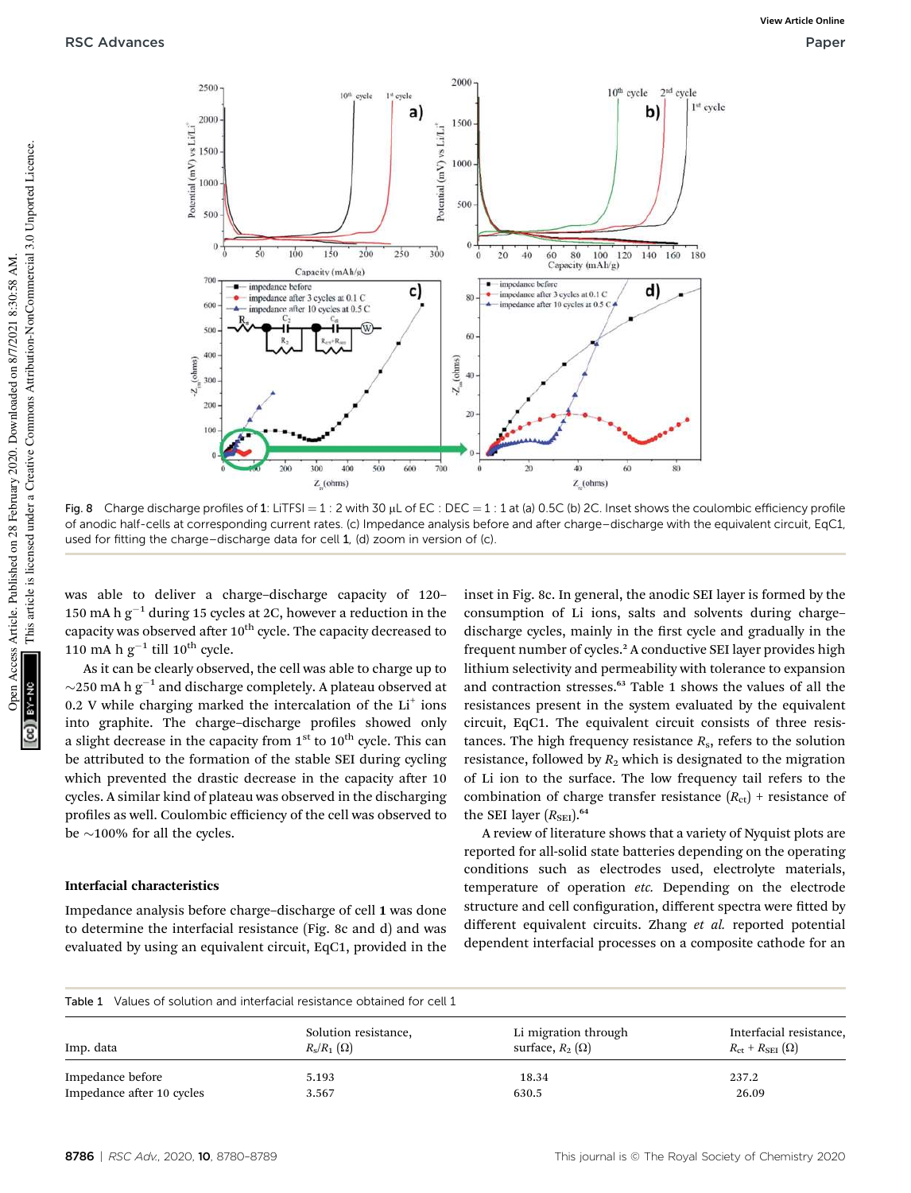

Fig. 8 Charge discharge profiles of 1: LiTFSI = 1 : 2 with 30  $\mu$ L of EC : DEC = 1 : 1 at (a) 0.5C (b) 2C. Inset shows the coulombic efficiency profile of anodic half-cells at corresponding current rates. (c) Impedance analysis before and after charge–discharge with the equivalent circuit, EqC1, used for fitting the charge–discharge data for cell 1, (d) zoom in version of (c).

was able to deliver a charge–discharge capacity of 120– 150 mA h  $g^{-1}$  during 15 cycles at 2C, however a reduction in the capacity was observed after  $10^{th}$  cycle. The capacity decreased to 110 mA h  $g^{-1}$  till 10<sup>th</sup> cycle.

As it can be clearly observed, the cell was able to charge up to  $\sim$ 250 mA h g<sup>-1</sup> and discharge completely. A plateau observed at  $0.2$  V while charging marked the intercalation of the  $Li<sup>+</sup>$  ions into graphite. The charge-discharge profiles showed only a slight decrease in the capacity from  $1<sup>st</sup>$  to  $10<sup>th</sup>$  cycle. This can be attributed to the formation of the stable SEI during cycling which prevented the drastic decrease in the capacity after 10 cycles. A similar kind of plateau was observed in the discharging profiles as well. Coulombic efficiency of the cell was observed to be  $\sim$ 100% for all the cycles.

#### Interfacial characteristics

Impedance analysis before charge–discharge of cell 1 was done to determine the interfacial resistance (Fig. 8c and d) and was evaluated by using an equivalent circuit, EqC1, provided in the

inset in Fig. 8c. In general, the anodic SEI layer is formed by the consumption of Li ions, salts and solvents during charge– discharge cycles, mainly in the first cycle and gradually in the frequent number of cycles.<sup>2</sup> A conductive SEI layer provides high lithium selectivity and permeability with tolerance to expansion and contraction stresses.<sup>63</sup> Table 1 shows the values of all the resistances present in the system evaluated by the equivalent circuit, EqC1. The equivalent circuit consists of three resistances. The high frequency resistance *R*<sup>s</sup> , refers to the solution resistance, followed by  $R_2$  which is designated to the migration of Li ion to the surface. The low frequency tail refers to the combination of charge transfer resistance  $(R_{\text{ct}})$  + resistance of the SEI layer  $(R_{\text{SFI}})$ .<sup>64</sup>

A review of literature shows that a variety of Nyquist plots are reported for all-solid state batteries depending on the operating conditions such as electrodes used, electrolyte materials, temperature of operation *etc.* Depending on the electrode structure and cell configuration, different spectra were fitted by different equivalent circuits. Zhang *et al.* reported potential dependent interfacial processes on a composite cathode for an

| Values of solution and interfacial resistance obtained for cell 1<br>Table 1 |                      |                        |                                           |
|------------------------------------------------------------------------------|----------------------|------------------------|-------------------------------------------|
| Imp. data                                                                    | Solution resistance, | Li migration through   | Interfacial resistance.                   |
|                                                                              | $R_s/R_1(\Omega)$    | surface, $R_2(\Omega)$ | $R_{\rm ct}$ + $R_{\rm SEI}$ ( $\Omega$ ) |
| Impedance before                                                             | 5.193                | 18.34                  | 237.2                                     |
| Impedance after 10 cycles                                                    | 3.567                | 630.5                  | 26.09                                     |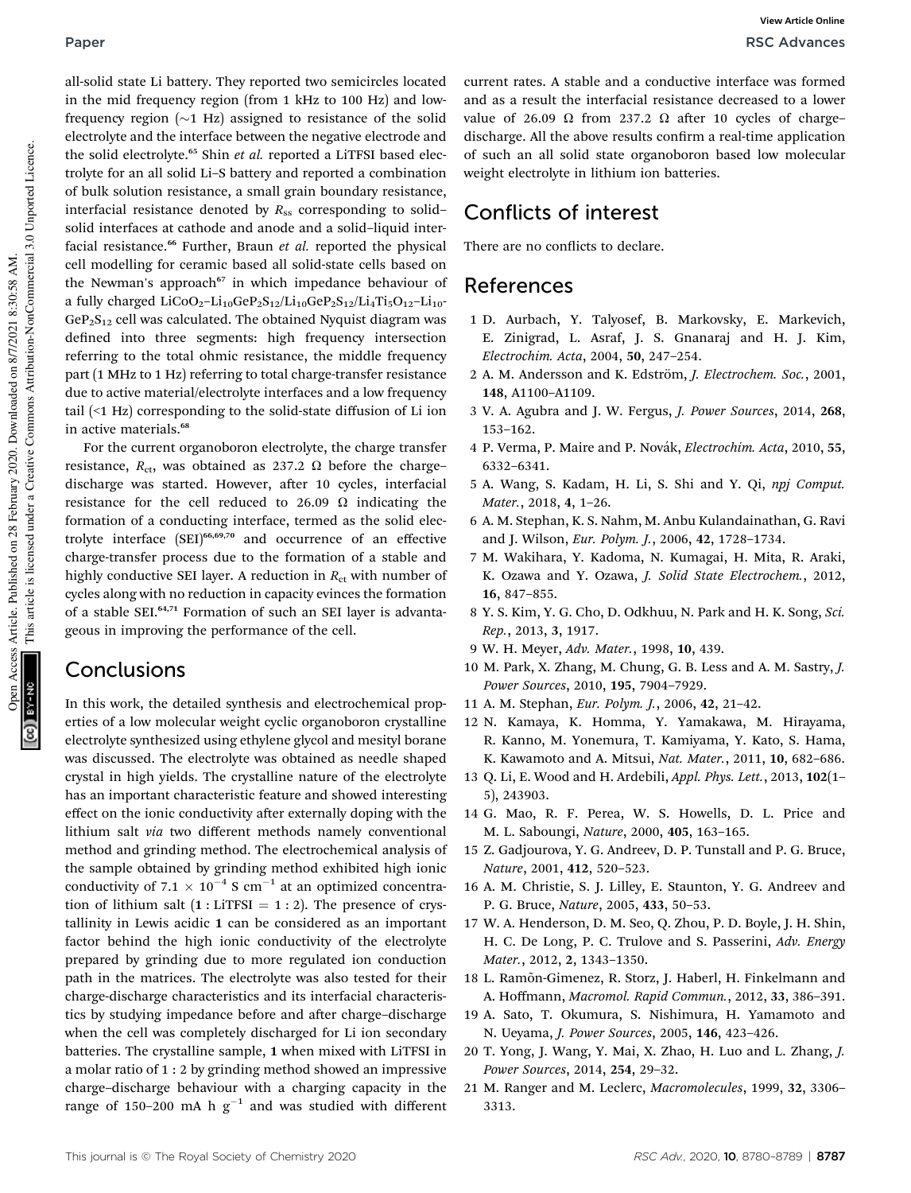all-solid state Li battery. They reported two semicircles located in the mid frequency region (from 1 kHz to 100 Hz) and lowfrequency region  $(\sim 1$  Hz) assigned to resistance of the solid electrolyte and the interface between the negative electrode and the solid electrolyte.<sup>65</sup> Shin *et al.* reported a LiTFSI based electrolyte for an all solid Li–S battery and reported a combination of bulk solution resistance, a small grain boundary resistance, interfacial resistance denoted by  $R_{ss}$  corresponding to solid– solid interfaces at cathode and anode and a solid–liquid interfacial resistance.<sup>66</sup> Further, Braun *et al.* reported the physical cell modelling for ceramic based all solid-state cells based on the Newman's approach<sup>67</sup> in which impedance behaviour of a fully charged  $LiCoO_2-Li_{10}GeP_2S_{12}/Li_{10}GeP_2S_{12}/Li_4Ti_5O_{12}-Li_{10}$  $GeP<sub>2</sub>S<sub>12</sub>$  cell was calculated. The obtained Nyquist diagram was defined into three segments: high frequency intersection referring to the total ohmic resistance, the middle frequency part (1 MHz to 1 Hz) referring to total charge-transfer resistance due to active material/electrolyte interfaces and a low frequency tail (<1 Hz) corresponding to the solid-state diffusion of Li ion in active materials.<sup>68</sup>

For the current organoboron electrolyte, the charge transfer resistance,  $R_{\text{ct}}$ , was obtained as 237.2  $\Omega$  before the chargedischarge was started. However, after 10 cycles, interfacial resistance for the cell reduced to 26.09  $\Omega$  indicating the formation of a conducting interface, termed as the solid electrolyte interface (SEI)66,69,70 and occurrence of an effective charge-transfer process due to the formation of a stable and highly conductive SEI layer. A reduction in  $R_{\text{ct}}$  with number of cycles along with no reduction in capacity evinces the formation of a stable SEI.64,71 Formation of such an SEI layer is advantageous in improving the performance of the cell.

### **Conclusions**

In this work, the detailed synthesis and electrochemical properties of a low molecular weight cyclic organoboron crystalline electrolyte synthesized using ethylene glycol and mesityl borane was discussed. The electrolyte was obtained as needle shaped crystal in high yields. The crystalline nature of the electrolyte has an important characteristic feature and showed interesting effect on the ionic conductivity after externally doping with the lithium salt *via* two different methods namely conventional method and grinding method. The electrochemical analysis of the sample obtained by grinding method exhibited high ionic conductivity of 7.1  $\times$  10<sup>-4</sup> S cm<sup>-1</sup> at an optimized concentration of lithium salt  $(1 : LITSI = 1 : 2)$ . The presence of crystallinity in Lewis acidic 1 can be considered as an important factor behind the high ionic conductivity of the electrolyte prepared by grinding due to more regulated ion conduction path in the matrices. The electrolyte was also tested for their charge-discharge characteristics and its interfacial characteristics by studying impedance before and after charge-discharge when the cell was completely discharged for Li ion secondary batteries. The crystalline sample, 1 when mixed with LiTFSI in a molar ratio of 1 : 2 by grinding method showed an impressive charge–discharge behaviour with a charging capacity in the range of 150-200 mA h  $g^{-1}$  and was studied with different

current rates. A stable and a conductive interface was formed and as a result the interfacial resistance decreased to a lower value of 26.09  $\Omega$  from 237.2  $\Omega$  after 10 cycles of chargedischarge. All the above results confirm a real-time application of such an all solid state organoboron based low molecular weight electrolyte in lithium ion batteries.

### Conflicts of interest

There are no conflicts to declare.

### References

- 1 D. Aurbach, Y. Talyosef, B. Markovsky, E. Markevich, E. Zinigrad, L. Asraf, J. S. Gnanaraj and H. J. Kim, *Electrochim. Acta*, 2004, 50, 247–254.
- 2 A. M. Andersson and K. Edström, *J. Electrochem. Soc.*, 2001, 148, A1100–A1109.
- 3 V. A. Agubra and J. W. Fergus, *J. Power Sources*, 2014, 268, 153–162.
- 4 P. Verma, P. Maire and P. Nov´ak, *Electrochim. Acta*, 2010, 55, 6332–6341.
- 5 A. Wang, S. Kadam, H. Li, S. Shi and Y. Qi, *npj Comput. Mater.*, 2018, 4, 1–26.
- 6 A. M. Stephan, K. S. Nahm, M. Anbu Kulandainathan, G. Ravi and J. Wilson, *Eur. Polym. J.*, 2006, 42, 1728–1734.
- 7 M. Wakihara, Y. Kadoma, N. Kumagai, H. Mita, R. Araki, K. Ozawa and Y. Ozawa, *J. Solid State Electrochem.*, 2012, 16, 847–855.
- 8 Y. S. Kim, Y. G. Cho, D. Odkhuu, N. Park and H. K. Song, *Sci. Rep.*, 2013, 3, 1917.
- 9 W. H. Meyer, *Adv. Mater.*, 1998, 10, 439.
- 10 M. Park, X. Zhang, M. Chung, G. B. Less and A. M. Sastry, *J. Power Sources*, 2010, 195, 7904–7929.
- 11 A. M. Stephan, *Eur. Polym. J.*, 2006, 42, 21–42.
- 12 N. Kamaya, K. Homma, Y. Yamakawa, M. Hirayama, R. Kanno, M. Yonemura, T. Kamiyama, Y. Kato, S. Hama, K. Kawamoto and A. Mitsui, *Nat. Mater.*, 2011, 10, 682–686.
- 13 Q. Li, E. Wood and H. Ardebili, *Appl. Phys. Lett.*, 2013, 102(1– 5), 243903.
- 14 G. Mao, R. F. Perea, W. S. Howells, D. L. Price and M. L. Saboungi, *Nature*, 2000, 405, 163–165.
- 15 Z. Gadjourova, Y. G. Andreev, D. P. Tunstall and P. G. Bruce, *Nature*, 2001, 412, 520–523.
- 16 A. M. Christie, S. J. Lilley, E. Staunton, Y. G. Andreev and P. G. Bruce, *Nature*, 2005, 433, 50–53.
- 17 W. A. Henderson, D. M. Seo, Q. Zhou, P. D. Boyle, J. H. Shin, H. C. De Long, P. C. Trulove and S. Passerini, *Adv. Energy Mater.*, 2012, 2, 1343–1350.
- 18 L. Ram˜on-Gimenez, R. Storz, J. Haberl, H. Finkelmann and A. Hoffmann, *Macromol. Rapid Commun.*, 2012, 33, 386–391.
- 19 A. Sato, T. Okumura, S. Nishimura, H. Yamamoto and N. Ueyama, *J. Power Sources*, 2005, 146, 423–426.
- 20 T. Yong, J. Wang, Y. Mai, X. Zhao, H. Luo and L. Zhang, *J. Power Sources*, 2014, 254, 29–32.
- 21 M. Ranger and M. Leclerc, *Macromolecules*, 1999, 32, 3306– 3313.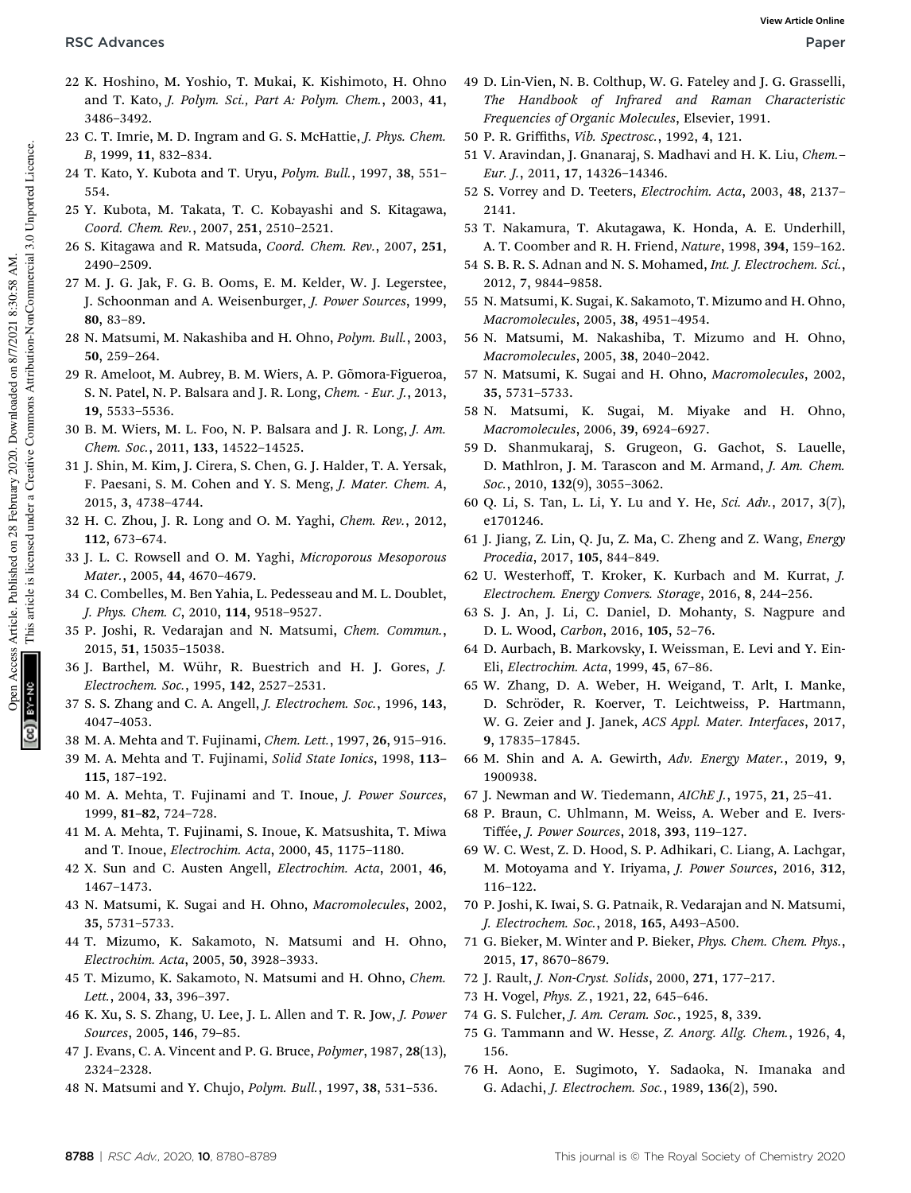- This article is licensed under a Creative Commons Attribution-NonCommercial 3.0 Unported Licence. This article is licensed under a Creative Commons Attribution-NonCommercial 3.0 Unported Licence. Open Access Article. Published on 28 February 2020. Downloaded on 8/7/2021 8:30:58 AM. Article. Published on 28 February 2020. Downloaded on 8/7/2021 8:30:58 AM. Access en
- 22 K. Hoshino, M. Yoshio, T. Mukai, K. Kishimoto, H. Ohno and T. Kato, *J. Polym. Sci., Part A: Polym. Chem.*, 2003, 41, 3486–3492.
- 23 C. T. Imrie, M. D. Ingram and G. S. McHattie, *J. Phys. Chem. B*, 1999, 11, 832–834.
- 24 T. Kato, Y. Kubota and T. Uryu, *Polym. Bull.*, 1997, 38, 551– 554.
- 25 Y. Kubota, M. Takata, T. C. Kobayashi and S. Kitagawa, *Coord. Chem. Rev.*, 2007, 251, 2510–2521.
- 26 S. Kitagawa and R. Matsuda, *Coord. Chem. Rev.*, 2007, 251, 2490–2509.
- 27 M. J. G. Jak, F. G. B. Ooms, E. M. Kelder, W. J. Legerstee, J. Schoonman and A. Weisenburger, *J. Power Sources*, 1999, 80, 83–89.
- 28 N. Matsumi, M. Nakashiba and H. Ohno, *Polym. Bull.*, 2003, 50, 259–264.
- 29 R. Ameloot, M. Aubrey, B. M. Wiers, A. P. Gõmora-Figueroa, S. N. Patel, N. P. Balsara and J. R. Long, *Chem. - Eur. J.*, 2013, 19, 5533–5536.
- 30 B. M. Wiers, M. L. Foo, N. P. Balsara and J. R. Long, *J. Am. Chem. Soc.*, 2011, 133, 14522–14525.
- 31 J. Shin, M. Kim, J. Cirera, S. Chen, G. J. Halder, T. A. Yersak, F. Paesani, S. M. Cohen and Y. S. Meng, *J. Mater. Chem. A*, 2015, 3, 4738–4744.
- 32 H. C. Zhou, J. R. Long and O. M. Yaghi, *Chem. Rev.*, 2012, 112, 673–674.
- 33 J. L. C. Rowsell and O. M. Yaghi, *Microporous Mesoporous Mater.*, 2005, 44, 4670–4679.
- 34 C. Combelles, M. Ben Yahia, L. Pedesseau and M. L. Doublet, *J. Phys. Chem. C*, 2010, 114, 9518–9527.
- 35 P. Joshi, R. Vedarajan and N. Matsumi, *Chem. Commun.*, 2015, 51, 15035–15038.
- 36 J. Barthel, M. Wühr, R. Buestrich and H. J. Gores, *J. Electrochem. Soc.*, 1995, 142, 2527–2531.
- 37 S. S. Zhang and C. A. Angell, *J. Electrochem. Soc.*, 1996, 143, 4047–4053.
- 38 M. A. Mehta and T. Fujinami, *Chem. Lett.*, 1997, 26, 915–916.
- 39 M. A. Mehta and T. Fujinami, *Solid State Ionics*, 1998, 113– 115, 187–192.
- 40 M. A. Mehta, T. Fujinami and T. Inoue, *J. Power Sources*, 1999, 81–82, 724–728.
- 41 M. A. Mehta, T. Fujinami, S. Inoue, K. Matsushita, T. Miwa and T. Inoue, *Electrochim. Acta*, 2000, 45, 1175–1180.
- 42 X. Sun and C. Austen Angell, *Electrochim. Acta*, 2001, 46, 1467–1473.
- 43 N. Matsumi, K. Sugai and H. Ohno, *Macromolecules*, 2002, 35, 5731–5733.
- 44 T. Mizumo, K. Sakamoto, N. Matsumi and H. Ohno, *Electrochim. Acta*, 2005, 50, 3928–3933.
- 45 T. Mizumo, K. Sakamoto, N. Matsumi and H. Ohno, *Chem. Lett.*, 2004, 33, 396–397.
- 46 K. Xu, S. S. Zhang, U. Lee, J. L. Allen and T. R. Jow, *J. Power Sources*, 2005, 146, 79–85.
- 47 J. Evans, C. A. Vincent and P. G. Bruce, *Polymer*, 1987, 28(13), 2324–2328.
- 48 N. Matsumi and Y. Chujo, *Polym. Bull.*, 1997, 38, 531–536.
- 49 D. Lin-Vien, N. B. Colthup, W. G. Fateley and J. G. Grasselli, *The Handbook of Infrared and Raman Characteristic Frequencies of Organic Molecules*, Elsevier, 1991.
- 50 P. R. Griffiths, *Vib. Spectrosc.*, 1992, 4, 121.
- 51 V. Aravindan, J. Gnanaraj, S. Madhavi and H. K. Liu, *Chem. Eur. J.*, 2011, 17, 14326–14346.
- 52 S. Vorrey and D. Teeters, *Electrochim. Acta*, 2003, 48, 2137– 2141.
- 53 T. Nakamura, T. Akutagawa, K. Honda, A. E. Underhill, A. T. Coomber and R. H. Friend, *Nature*, 1998, 394, 159–162.
- 54 S. B. R. S. Adnan and N. S. Mohamed, *Int. J. Electrochem. Sci.*, 2012, 7, 9844–9858.
- 55 N. Matsumi, K. Sugai, K. Sakamoto, T. Mizumo and H. Ohno, *Macromolecules*, 2005, 38, 4951–4954.
- 56 N. Matsumi, M. Nakashiba, T. Mizumo and H. Ohno, *Macromolecules*, 2005, 38, 2040–2042.
- 57 N. Matsumi, K. Sugai and H. Ohno, *Macromolecules*, 2002, 35, 5731–5733.
- 58 N. Matsumi, K. Sugai, M. Miyake and H. Ohno, *Macromolecules*, 2006, 39, 6924–6927.
- 59 D. Shanmukaraj, S. Grugeon, G. Gachot, S. Lauelle, D. Mathlron, J. M. Tarascon and M. Armand, *J. Am. Chem. Soc.*, 2010, 132(9), 3055–3062.
- 60 Q. Li, S. Tan, L. Li, Y. Lu and Y. He, *Sci. Adv.*, 2017, 3(7), e1701246.
- 61 J. Jiang, Z. Lin, Q. Ju, Z. Ma, C. Zheng and Z. Wang, *Energy Procedia*, 2017, 105, 844–849.
- 62 U. Westerhoff, T. Kroker, K. Kurbach and M. Kurrat, *J. Electrochem. Energy Convers. Storage*, 2016, 8, 244–256.
- 63 S. J. An, J. Li, C. Daniel, D. Mohanty, S. Nagpure and D. L. Wood, *Carbon*, 2016, 105, 52–76.
- 64 D. Aurbach, B. Markovsky, I. Weissman, E. Levi and Y. Ein-Eli, *Electrochim. Acta*, 1999, 45, 67–86.
- 65 W. Zhang, D. A. Weber, H. Weigand, T. Arlt, I. Manke, D. Schröder, R. Koerver, T. Leichtweiss, P. Hartmann, W. G. Zeier and J. Janek, *ACS Appl. Mater. Interfaces*, 2017, 9, 17835–17845.
- 66 M. Shin and A. A. Gewirth, *Adv. Energy Mater.*, 2019, 9, 1900938.
- 67 J. Newman and W. Tiedemann, *AIChE J.*, 1975, 21, 25–41.
- 68 P. Braun, C. Uhlmann, M. Weiss, A. Weber and E. Ivers-Tiff´ee, *J. Power Sources*, 2018, 393, 119–127.
- 69 W. C. West, Z. D. Hood, S. P. Adhikari, C. Liang, A. Lachgar, M. Motoyama and Y. Iriyama, *J. Power Sources*, 2016, 312, 116–122.
- 70 P. Joshi, K. Iwai, S. G. Patnaik, R. Vedarajan and N. Matsumi, *J. Electrochem. Soc.*, 2018, 165, A493–A500.
- 71 G. Bieker, M. Winter and P. Bieker, *Phys. Chem. Chem. Phys.*, 2015, 17, 8670–8679.
- 72 J. Rault, *J. Non-Cryst. Solids*, 2000, 271, 177–217.
- 73 H. Vogel, *Phys. Z.*, 1921, 22, 645–646.
- 74 G. S. Fulcher, *J. Am. Ceram. Soc.*, 1925, 8, 339.
- 75 G. Tammann and W. Hesse, *Z. Anorg. Allg. Chem.*, 1926, 4, 156.
- 76 H. Aono, E. Sugimoto, Y. Sadaoka, N. Imanaka and G. Adachi, *J. Electrochem. Soc.*, 1989, 136(2), 590.